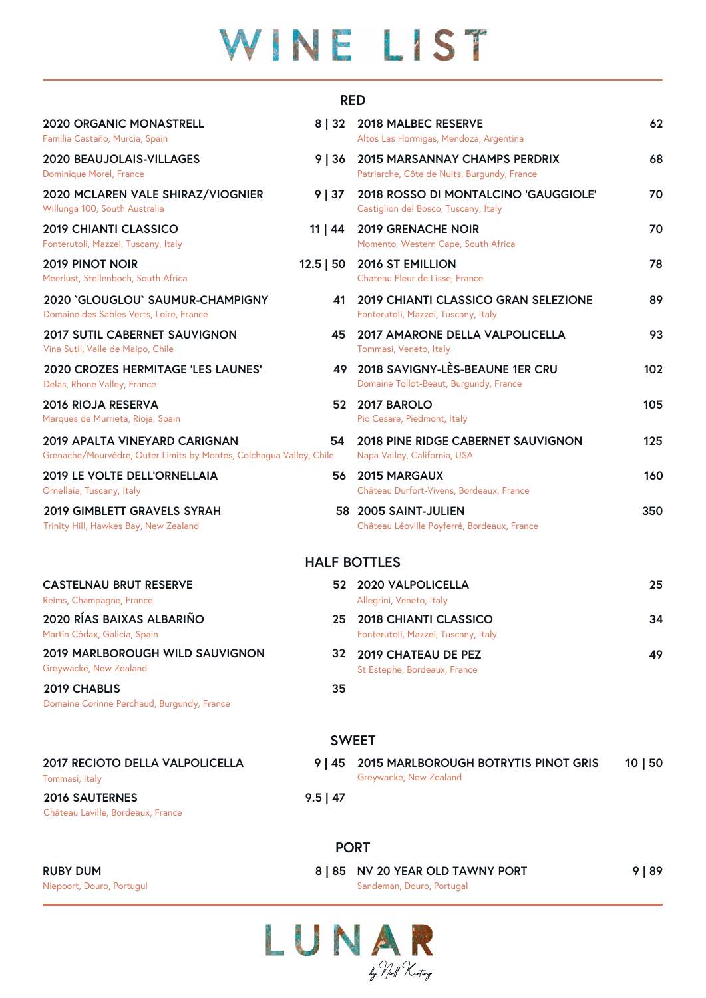# WINE LIST

#### **RED**

| <b>2020 ORGANIC MONASTRELL</b><br>Familia Castaño, Murcia, Spain                                            | 8 32         | 2018 MALBEC RESERVE<br>Altos Las Hormigas, Mendoza, Argentina                       | 62    |
|-------------------------------------------------------------------------------------------------------------|--------------|-------------------------------------------------------------------------------------|-------|
| 2020 BEAUJOLAIS-VILLAGES<br>Dominique Morel, France                                                         | 9 36         | <b>2015 MARSANNAY CHAMPS PERDRIX</b><br>Patriarche, Côte de Nuits, Burgundy, France | 68    |
| 2020 MCLAREN VALE SHIRAZ/VIOGNIER<br>Willunga 100, South Australia                                          | 9   37       | 2018 ROSSO DI MONTALCINO 'GAUGGIOLE'<br>Castiglion del Bosco, Tuscany, Italy        | 70    |
| <b>2019 CHIANTI CLASSICO</b><br>Fonterutoli, Mazzei, Tuscany, Italy                                         | $11 \mid 44$ | <b>2019 GRENACHE NOIR</b><br>Momento, Western Cape, South Africa                    | 70    |
| <b>2019 PINOT NOIR</b><br>Meerlust, Stellenboch, South Africa                                               | $12.5$   50  | <b>2016 ST EMILLION</b><br>Chateau Fleur de Lisse, France                           | 78    |
| 2020 'GLOUGLOU' SAUMUR-CHAMPIGNY<br>Domaine des Sables Verts, Loire, France                                 | 41           | 2019 CHIANTI CLASSICO GRAN SELEZIONE<br>Fonterutoli, Mazzei, Tuscany, Italy         | 89    |
| 2017 SUTIL CABERNET SAUVIGNON<br>Vina Sutil, Valle de Maipo, Chile                                          | 45           | 2017 AMARONE DELLA VALPOLICELLA<br>Tommasi, Veneto, Italy                           | 93    |
| <b>2020 CROZES HERMITAGE 'LES LAUNES'</b><br>Delas, Rhone Valley, France                                    |              | 49 2018 SAVIGNY-LÈS-BEAUNE 1ER CRU<br>Domaine Tollot-Beaut, Burgundy, France        | 102   |
| <b>2016 RIOJA RESERVA</b><br>Marques de Murrieta, Rioja, Spain                                              |              | 52 2017 BAROLO<br>Pio Cesare, Piedmont, Italy                                       | 105   |
| <b>2019 APALTA VINEYARD CARIGNAN</b><br>Grenache/Mourvèdre, Outer Limits by Montes, Colchagua Valley, Chile | 54           | 2018 PINE RIDGE CABERNET SAUVIGNON<br>Napa Valley, California, USA                  | 125   |
| 2019 LE VOLTE DELL'ORNELLAIA<br>Ornellaia, Tuscany, Italy                                                   | 56           | <b>2015 MARGAUX</b><br>Château Durfort-Vivens, Bordeaux, France                     | 160   |
| 2019 GIMBLETT GRAVELS SYRAH<br>Trinity Hill, Hawkes Bay, New Zealand                                        |              | 58 2005 SAINT-JULIEN<br>Château Léoville Poyferré, Bordeaux, France                 | 350   |
|                                                                                                             |              | <b>HALF BOTTLES</b>                                                                 |       |
| <b>CASTELNAU BRUT RESERVE</b><br>Reims, Champagne, France                                                   |              | 52 2020 VALPOLICELLA<br>Allegrini, Veneto, Italy                                    | 25    |
| 2020 RÍAS BAIXAS ALBARIÑO<br>Martín Códax, Galicia, Spain                                                   | 25           | <b>2018 CHIANTI CLASSICO</b><br>Fonterutoli, Mazzei, Tuscany, Italy                 | 34    |
| <b>2019 MARLBOROUGH WILD SAUVIGNON</b><br>Greywacke, New Zealand                                            | 32           | 2019 CHATEAU DE PEZ<br>St Estephe, Bordeaux, France                                 | 49    |
| 2019 CHABLIS<br>Domaine Corinne Perchaud, Burgundy, France                                                  | 35           |                                                                                     |       |
|                                                                                                             |              | <b>SWEET</b>                                                                        |       |
| 2017 RECIOTO DELLA VALPOLICELLA                                                                             | 9   45       | 2015 MARLBOROUGH BOTRYTIS PINOT GRIS                                                | 10 50 |

**2016 SAUTERNES 9.5 | 47**

Château Laville, Bordeaux, France

**PORT**

Tommasi, Italy Greywacke, New Zealand

Niepoort, Douro, Portugul Sandeman, Douro, Portugal **RUBY DUM 8 | 85 NV 20 YEAR OLD TAWNY PORT 9 | 89**